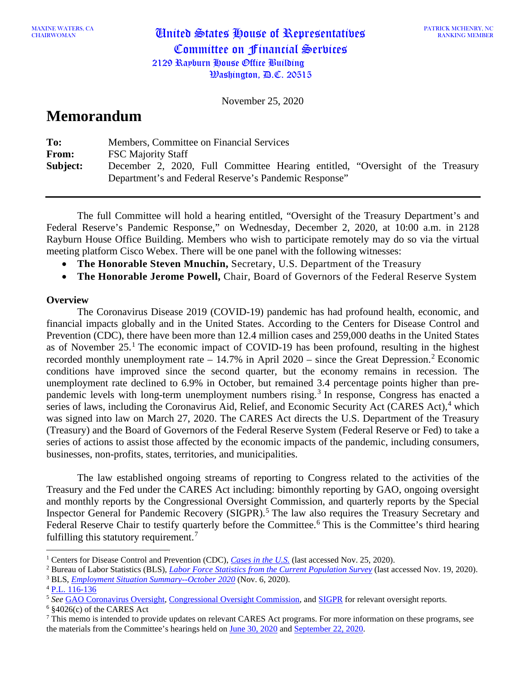November 25, 2020

 $\mathcal{W}$ ashington,  $\mathcal{P}$ .C. 20515

# **Memorandum**

| To:          | Members, Committee on Financial Services                                      |  |  |  |  |  |
|--------------|-------------------------------------------------------------------------------|--|--|--|--|--|
| <b>From:</b> | <b>FSC Majority Staff</b>                                                     |  |  |  |  |  |
| Subject:     | December 2, 2020, Full Committee Hearing entitled, "Oversight of the Treasury |  |  |  |  |  |
|              | Department's and Federal Reserve's Pandemic Response"                         |  |  |  |  |  |

The full Committee will hold a hearing entitled, "Oversight of the Treasury Department's and Federal Reserve's Pandemic Response," on Wednesday, December 2, 2020, at 10:00 a.m. in 2128 Rayburn House Office Building. Members who wish to participate remotely may do so via the virtual meeting platform Cisco Webex. There will be one panel with the following witnesses:

- **The Honorable Steven Mnuchin,** Secretary, U.S. Department of the Treasury
- **The Honorable Jerome Powell, Chair, Board of Governors of the Federal Reserve System**

#### **Overview**

The Coronavirus Disease 2019 (COVID-19) pandemic has had profound health, economic, and financial impacts globally and in the United States. According to the Centers for Disease Control and Prevention (CDC), there have been more than 12.4 million cases and 259,000 deaths in the United States as of November 25.<sup>[1](#page-0-0)</sup> The economic impact of COVID-19 has been profound, resulting in the highest recorded monthly unemployment rate  $-14.7\%$  in April [2](#page-0-1)020 – since the Great Depression.<sup>2</sup> Economic conditions have improved since the second quarter, but the economy remains in recession. The unemployment rate declined to 6.9% in October, but remained 3.4 percentage points higher than pre-pandemic levels with long-term unemployment numbers rising.<sup>[3](#page-0-2)</sup> In response, Congress has enacted a series of laws, including the Coronavirus Aid, Relief, and Economic Security Act (CARES Act), $4$  which was signed into law on March 27, 2020. The CARES Act directs the U.S. Department of the Treasury (Treasury) and the Board of Governors of the Federal Reserve System (Federal Reserve or Fed) to take a series of actions to assist those affected by the economic impacts of the pandemic, including consumers, businesses, non-profits, states, territories, and municipalities.

The law established ongoing streams of reporting to Congress related to the activities of the Treasury and the Fed under the CARES Act including: bimonthly reporting by GAO, ongoing oversight and monthly reports by the Congressional Oversight Commission, and quarterly reports by the Special Inspector General for Pandemic Recovery (SIGPR). [5](#page-0-4) The law also requires the Treasury Secretary and Federal Reserve Chair to testify quarterly before the Committee.<sup>[6](#page-0-5)</sup> This is the Committee's third hearing fulfilling this statutory requirement.<sup>[7](#page-0-6)</sup>

<span id="page-0-0"></span><sup>&</sup>lt;sup>1</sup> Centers for Disease Control and Prevention (CDC), *[Cases in the U.S.](https://www.cdc.gov/coronavirus/2019-ncov/cases-updates/cases-in-us.html)* (last accessed Nov. 25, 2020).

<span id="page-0-1"></span><sup>2</sup> Bureau of Labor Statistics (BLS), *[Labor Force Statistics from the](https://www.bls.gov/cps/cpsatabs.htm) Current Population Survey* (last accessed Nov. 19, 2020).

<span id="page-0-2"></span><sup>3</sup> BLS, *[Employment Situation Summary--October 2020](https://www.bls.gov/news.release/empsit.nr0.htm)* (Nov. 6, 2020).

<span id="page-0-3"></span><sup>4</sup> [P.L. 116-136](https://www.congress.gov/bill/116th-congress/house-bill/748/text)

<span id="page-0-4"></span><sup>5</sup> *See* [GAO Coronavirus Oversight,](https://www.gao.gov/coronavirus) [Congressional Oversight Commission,](http://coc.senate.gov/) and [SIGPR](https://www.sigpr.gov/) for relevant oversight reports.

<span id="page-0-5"></span><sup>6</sup> §4026(c) of the CARES Act

<span id="page-0-6"></span> $<sup>7</sup>$  This memo is intended to provide updates on relevant CARES Act programs. For more information on these programs, see</sup> the materials from the Committee's hearings held on [June 30, 2020](https://financialservices.house.gov/calendar/eventsingle.aspx?EventID=406688) an[d September 22, 2020.](https://financialservices.house.gov/calendar/eventsingle.aspx?EventID=406869)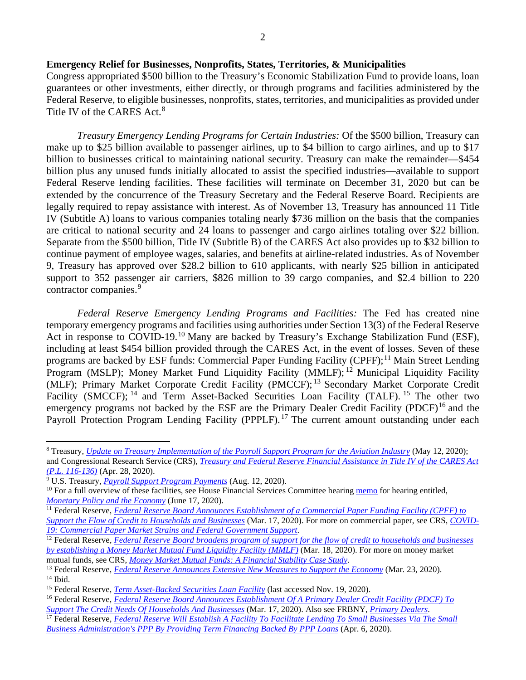#### **Emergency Relief for Businesses, Nonprofits, States, Territories, & Municipalities**

Congress appropriated \$500 billion to the Treasury's Economic Stabilization Fund to provide loans, loan guarantees or other investments, either directly, or through programs and facilities administered by the Federal Reserve, to eligible businesses, nonprofits, states, territories, and municipalities as provided under Title IV of the CARES Act.<sup>[8](#page-1-0)</sup>

*Treasury Emergency Lending Programs for Certain Industries:* Of the \$500 billion, Treasury can make up to \$25 billion available to passenger airlines, up to \$4 billion to cargo airlines, and up to \$17 billion to businesses critical to maintaining national security. Treasury can make the remainder—\$454 billion plus any unused funds initially allocated to assist the specified industries—available to support Federal Reserve lending facilities. These facilities will terminate on December 31, 2020 but can be extended by the concurrence of the Treasury Secretary and the Federal Reserve Board. Recipients are legally required to repay assistance with interest. As of November 13, Treasury has announced 11 Title IV (Subtitle A) loans to various companies totaling nearly \$736 million on the basis that the companies are critical to national security and 24 loans to passenger and cargo airlines totaling over \$22 billion. Separate from the \$500 billion, Title IV (Subtitle B) of the CARES Act also provides up to \$32 billion to continue payment of employee wages, salaries, and benefits at airline-related industries. As of November 9, Treasury has approved over \$28.2 billion to 610 applicants, with nearly \$25 billion in anticipated support to 352 passenger air carriers, \$826 million to 39 cargo companies, and \$2.4 billion to 220 contractor companies.<sup>[9](#page-1-1)</sup>

*Federal Reserve Emergency Lending Programs and Facilities:* The Fed has created nine temporary emergency programs and facilities using authorities under Section 13(3) of the Federal Reserve Act in response to COVID-19.<sup>[10](#page-1-2)</sup> Many are backed by Treasury's Exchange Stabilization Fund (ESF), including at least \$454 billion provided through the CARES Act, in the event of losses. Seven of these programs are backed by ESF funds: Commercial Paper Funding Facility (CPFF);<sup>[11](#page-1-3)</sup> Main Street Lending Program (MSLP); Money Market Fund Liquidity Facility (MMLF); <sup>[12](#page-1-4)</sup> Municipal Liquidity Facility (MLF); Primary Market Corporate Credit Facility (PMCCF); [13](#page-1-5) Secondary Market Corporate Credit Facility (SMCCF);  $^{14}$  $^{14}$  $^{14}$  and Term Asset-Backed Securities Loan Facility (TALF). <sup>[15](#page-1-7)</sup> The other two emergency programs not backed by the ESF are the Primary Dealer Credit Facility (PDCF)<sup>[16](#page-1-8)</sup> and the Payroll Protection Program Lending Facility (PPPLF).<sup>[17](#page-1-9)</sup> The current amount outstanding under each

<span id="page-1-9"></span><sup>17</sup> Federal Reserve, *Federal Reserve Will Establish A Facility To Facilitate Lending To Small Businesses Via The Small Business Administration's PPP [By Providing Term Financing Backed By PPP Loans](https://www.federalreserve.gov/newsevents/pressreleases/monetary20200406a.htm)* (Apr. 6, 2020).

<span id="page-1-0"></span><sup>8</sup> Treasury, *[Update on Treasury Implementation of the Payroll Support Program for the Aviation Industry](https://home.treasury.gov/news/press-releases/sm1008)* (May 12, 2020); and Congressional Research Service (CRS), *[Treasury and Federal Reserve Financial Assistance in Title IV of the CARES Act](https://www.crs.gov/Reports/R46329)  [\(P.L. 116-136\)](https://www.crs.gov/Reports/R46329)* (Apr. 28, 2020).

<span id="page-1-1"></span><sup>9</sup> U.S. Treasury, *[Payroll Support Program Payments](https://home.treasury.gov/policy-issues/cares/preserving-jobs-for-american-industry/payroll-support-program-payments)* (Aug. 12, 2020).

<span id="page-1-2"></span> $10$  For a full overview of these facilities, see House Financial Services Committee hearin[g memo](https://docs.house.gov/meetings/BA/BA00/20200617/110801/HHRG-116-BA00-20200617-SD002.pdf) for hearing entitled, *[Monetary Policy and the Economy](https://financialservices.house.gov/calendar/eventsingle.aspx?EventID=406614)* (June 17, 2020).

<span id="page-1-3"></span><sup>11</sup> Federal Reserve, *[Federal Reserve Board Announces Establishment of a Commercial Paper Funding Facility \(CPFF\) to](https://www.federalreserve.gov/newsevents/pressreleases/monetary20200317a.htm)  [Support the Flow of Credit to Households and Businesses](https://www.federalreserve.gov/newsevents/pressreleases/monetary20200317a.htm)* (Mar. 17, 2020). For more on commercial paper, see CRS, *[COVID-](http://www.crs.gov/Reports/IN11332)[19: Commercial Paper Market Strains and Federal Government Support](http://www.crs.gov/Reports/IN11332)*.

<span id="page-1-4"></span><sup>&</sup>lt;sup>12</sup> Federal Reserve, *Federal Reserve Board broadens program of support for the flow of credit to households and businesses [by establishing a Money Market Mutual Fund Liquidity Facility \(MMLF\)](https://www.federalreserve.gov/newsevents/pressreleases/monetary20200318a.htm)* (Mar. 18, 2020). For more on money market mutual funds, see CRS, *[Money Market Mutual Funds: A Financial Stability Case Study](http://www.crs.gov/Reports/IF11320)*.

<span id="page-1-6"></span><span id="page-1-5"></span><sup>13</sup> Federal Reserve, *[Federal Reserve Announces Extensive New Measures to Support the Economy](https://www.federalreserve.gov/newsevents/pressreleases/monetary20200323b.htm)* (Mar. 23, 2020).  $14$  Ibid.

<span id="page-1-7"></span><sup>15</sup> Federal Reserve, *[Term Asset-Backed Securities Loan Facility](https://www.federalreserve.gov/monetarypolicy/talf.htm)* (last accessed Nov. 19, 2020).

<span id="page-1-8"></span><sup>16</sup> Federal Reserve, *[Federal Reserve Board Announces Establishment Of A Primary Dealer Credit Facility \(PDCF\) To](https://www.federalreserve.gov/newsevents/pressreleases/monetary20200317b.htm)  [Support The Credit Needs Of Households And Businesses](https://www.federalreserve.gov/newsevents/pressreleases/monetary20200317b.htm)* (Mar. 17, 2020). Also see FRBNY, *[Primary Dealers](https://www.newyorkfed.org/markets/primarydealers)*.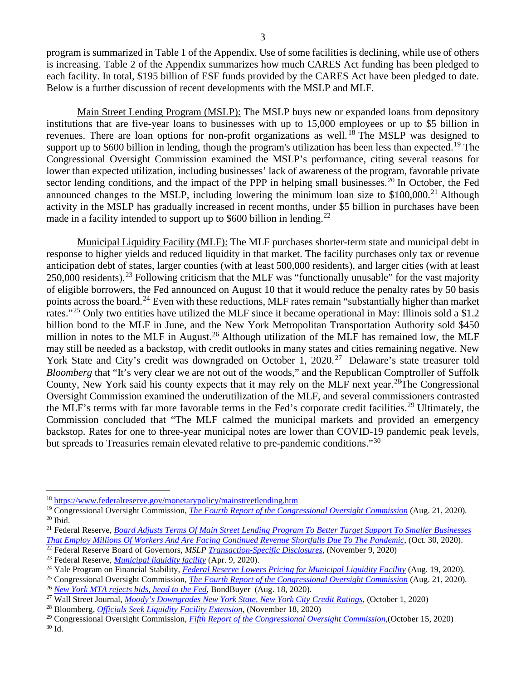program is summarized in Table 1 of the Appendix. Use of some facilities is declining, while use of others is increasing. Table 2 of the Appendix summarizes how much CARES Act funding has been pledged to each facility. In total, \$195 billion of ESF funds provided by the CARES Act have been pledged to date. Below is a further discussion of recent developments with the MSLP and MLF.

Main Street Lending Program (MSLP): The MSLP buys new or expanded loans from depository institutions that are five-year loans to businesses with up to 15,000 employees or up to \$5 billion in revenues. There are loan options for non-profit organizations as well.<sup>[18](#page-2-0)</sup> The MSLP was designed to support up to \$600 billion in lending, though the program's utilization has been less than expected.<sup>[19](#page-2-1)</sup> The Congressional Oversight Commission examined the MSLP's performance, citing several reasons for lower than expected utilization, including businesses' lack of awareness of the program, favorable private sector lending conditions, and the impact of the PPP in helping small businesses.<sup>[20](#page-2-2)</sup> In October, the Fed announced changes to the MSLP, including lowering the minimum loan size to  $$100,000.<sup>21</sup>$  $$100,000.<sup>21</sup>$  $$100,000.<sup>21</sup>$  Although activity in the MSLP has gradually increased in recent months, under \$5 billion in purchases have been made in a facility intended to support up to  $$600$  billion in lending.<sup>[22](#page-2-4)</sup>

Municipal Liquidity Facility (MLF): The MLF purchases shorter-term state and municipal debt in response to higher yields and reduced liquidity in that market. The facility purchases only tax or revenue anticipation debt of states, larger counties (with at least 500,000 residents), and larger cities (with at least 250,000 residents).<sup>[23](#page-2-5)</sup> Following criticism that the MLF was "functionally unusable" for the vast majority of eligible borrowers, the Fed announced on August 10 that it would reduce the penalty rates by 50 basis points across the board.<sup>[24](#page-2-6)</sup> Even with these reductions, MLF rates remain "substantially higher than market" rates."<sup>[25](#page-2-7)</sup> Only two entities have utilized the MLF since it became operational in May: Illinois sold a \$1.2 billion bond to the MLF in June, and the New York Metropolitan Transportation Authority sold \$450 million in notes to the MLF in August.<sup>[26](#page-2-8)</sup> Although utilization of the MLF has remained low, the MLF may still be needed as a backstop, with credit outlooks in many states and cities remaining negative. New York State and City's credit was downgraded on October 1, 2020.<sup>[27](#page-2-9)</sup> Delaware's state treasurer told *Bloomberg* that "It's very clear we are not out of the woods," and the Republican Comptroller of Suffolk County, New York said his county expects that it may rely on the MLF next year.<sup>[28](#page-2-10)</sup>The Congressional Oversight Commission examined the underutilization of the MLF, and several commissioners contrasted the MLF's terms with far more favorable terms in the Fed's corporate credit facilities.<sup>[29](#page-2-11)</sup> Ultimately, the Commission concluded that "The MLF calmed the municipal markets and provided an emergency backstop. Rates for one to three-year municipal notes are lower than COVID-19 pandemic peak levels, but spreads to Treasuries remain elevated relative to pre-pandemic conditions."<sup>[30](#page-2-12)</sup>

<span id="page-2-0"></span><sup>18</sup> <https://www.federalreserve.gov/monetarypolicy/mainstreetlending.htm>

<span id="page-2-1"></span><sup>19</sup> Congressional Oversight Commission, *[The Fourth Report of the Congressional Oversight Commission](https://coc.senate.gov/sites/default/files/2020-08/COC%204th%20Report_08.21.2020%20with%20Appendix%208-27%20update.pdf)* (Aug. 21, 2020).  $20$  Ibid.

<span id="page-2-3"></span><span id="page-2-2"></span><sup>21</sup> Federal Reserve, *[Board Adjusts Terms Of Main Street Lending Program To Better Target Support To Smaller Businesses](https://www.federalreserve.gov/newsevents/pressreleases/monetary20201030a.htm)  [That Employ Millions Of Workers And Are Facing Continued Revenue Shortfalls Due To The Pandemic](https://www.federalreserve.gov/newsevents/pressreleases/monetary20201030a.htm)*, (Oct. 30, 2020). <sup>22</sup> Federal Reserve Board of Governors, *MSL[P Transaction-Specific Disclosures,](https://www.federalreserve.gov/monetarypolicy/mainstreetlending.htm)* (November 9, 2020)

<span id="page-2-5"></span><span id="page-2-4"></span><sup>23</sup> Federal Reserve, *[Municipal liquidity facility](https://www.federalreserve.gov/monetarypolicy/muni.htm)* (Apr. 9, 2020).

<span id="page-2-6"></span><sup>&</sup>lt;sup>24</sup> Yale Program on Financial Stability, *[Federal Reserve Lowers Pricing for Municipal Liquidity Facility](https://som.yale.edu/blog/federal-reserve-lowers-pricing-for-municipal-liquidity-facility)* (Aug. 19, 2020).

<span id="page-2-7"></span><sup>25</sup> Congressional Oversight Commission, *[The Fourth Report of the Congressional Oversight Commission](https://coc.senate.gov/sites/default/files/2020-08/COC%204th%20Report_08.21.2020%20with%20Appendix.pdf)* (Aug. 21, 2020). <sup>26</sup> *[New York MTA rejects bids, head to the Fed](https://www.bondbuyer.com/news/new-york-mta-sells-second-large-deal-to-federal-reserve)*, BondBuyer (Aug. 18, 2020).

<span id="page-2-9"></span><span id="page-2-8"></span><sup>&</sup>lt;sup>27</sup> Wall Street Journal, *Moody's Downgrades New York State, New York City Credit Ratings,* (October 1, 2020)

<span id="page-2-10"></span><sup>28</sup> Bloomberg, *[Officials Seek Liquidity Facility Extension,](https://newsletters.briefs.bloomberg.com/document/LzhS9801SriU4HyFw3J5qw--_4sz3xelk977zxownd6/headlines)* (November 18, 2020)

<span id="page-2-12"></span><span id="page-2-11"></span><sup>29</sup> Congressional Oversight Commission, *[Fifth Report of the Congressional Oversight Commission,](https://coc.senate.gov/sites/default/files/2020-10/10-15%20COC%20Fifth%20Report%20FINAL%20%28Report%20%2B%20Appendices%29.pdf)*(October 15, 2020) <sup>30</sup> Id.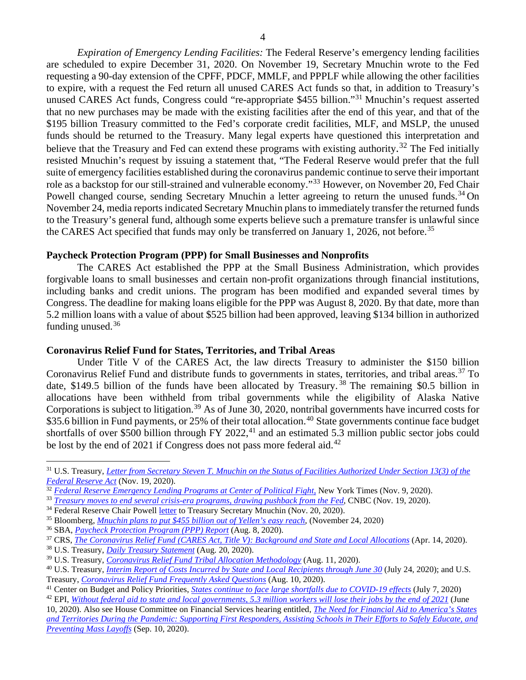*Expiration of Emergency Lending Facilities:* The Federal Reserve's emergency lending facilities are scheduled to expire December 31, 2020. On November 19, Secretary Mnuchin wrote to the Fed requesting a 90-day extension of the CPFF, PDCF, MMLF, and PPPLF while allowing the other facilities to expire, with a request the Fed return all unused CARES Act funds so that, in addition to Treasury's unused CARES Act funds, Congress could "re-appropriate \$455 billion."[31](#page-3-0) Mnuchin's request asserted that no new purchases may be made with the existing facilities after the end of this year, and that of the \$195 billion Treasury committed to the Fed's corporate credit facilities, MLF, and MSLP, the unused funds should be returned to the Treasury. Many legal experts have questioned this interpretation and believe that the Treasury and Fed can extend these programs with existing authority.<sup>[32](#page-3-1)</sup> The Fed initially resisted Mnuchin's request by issuing a statement that, "The Federal Reserve would prefer that the full suite of emergency facilities established during the coronavirus pandemic continue to serve their important role as a backstop for our still-strained and vulnerable economy."[33](#page-3-2) However, on November 20, Fed Chair Powell changed course, sending Secretary Mnuchin a letter agreeing to return the unused funds.<sup>[34](#page-3-3)</sup> On November 24, media reports indicated Secretary Mnuchin plans to immediately transfer the returned funds to the Treasury's general fund, although some experts believe such a premature transfer is unlawful since the CARES Act specified that funds may only be transferred on January 1, 2026, not before.<sup>[35](#page-3-4)</sup>

#### **Paycheck Protection Program (PPP) for Small Businesses and Nonprofits**

The CARES Act established the PPP at the Small Business Administration, which provides forgivable loans to small businesses and certain non-profit organizations through financial institutions, including banks and credit unions. The program has been modified and expanded several times by Congress. The deadline for making loans eligible for the PPP was August 8, 2020. By that date, more than 5.2 million loans with a value of about \$525 billion had been approved, leaving \$134 billion in authorized funding unused. $36$ 

#### **Coronavirus Relief Fund for States, Territories, and Tribal Areas**

Under Title V of the CARES Act, the law directs Treasury to administer the \$150 billion Coronavirus Relief Fund and distribute funds to governments in states, territories, and tribal areas.<sup>[37](#page-3-6)</sup> To date, \$149.5 billion of the funds have been allocated by Treasury.<sup>[38](#page-3-7)</sup> The remaining \$0.5 billion in allocations have been withheld from tribal governments while the eligibility of Alaska Native Corporations is subject to litigation.<sup>[39](#page-3-8)</sup> As of June 30, 2020, nontribal governments have incurred costs for \$35.6 billion in Fund payments, or 25% of their total allocation.<sup>[40](#page-3-9)</sup> State governments continue face budget shortfalls of over \$500 billion through FY 2022,<sup>[41](#page-3-10)</sup> and an estimated 5.3 million public sector jobs could be lost by the end of 2021 if Congress does not pass more federal aid.<sup>[42](#page-3-11)</sup>

<span id="page-3-7"></span><sup>38</sup> U.S. Treasury, *[Daily Treasury Statement](https://fsapps.fiscal.treasury.gov/dts/files/20082000.pdf)* (Aug. 20, 2020).

<span id="page-3-0"></span><sup>31</sup> U.S. Treasury, *[Letter from Secretary Steven T. Mnuchin on the Status of Facilities Authorized Under Section 13\(3\) of the](https://home.treasury.gov/news/press-releases/sm1190)  [Federal Reserve Act](https://home.treasury.gov/news/press-releases/sm1190)* (Nov. 19, 2020).

<span id="page-3-1"></span><sup>&</sup>lt;sup>32</sup> [Federal Reserve Emergency Lending Programs at Center of Political Fight](https://www.nytimes.com/2020/11/09/business/economy/federal-reserve-emergency-loans.html), New York Times (Nov. 9, 2020).

<span id="page-3-2"></span><sup>33</sup> *[Treasury moves to end several crisis-era programs, drawing pushback from the Fed](https://www.cnbc.com/2020/11/19/treasury-seeks-to-extend-some-emergency-fed-programs-but-end-others-including-main-street-facility.html)*, CNBC (Nov. 19, 2020).

<span id="page-3-3"></span><sup>&</sup>lt;sup>34</sup> Federal Reserve Chair Powell [letter](https://www.federalreserve.gov/foia/files/mnuchin-letter-20201120.pdf) to Treasury Secretary Mnuchin (Nov. 20, 2020).

<span id="page-3-4"></span><sup>35</sup> Bloomberg, *Mnuchin plans [to put \\$455 billion out of Yellen's easy reach,](https://www.bloomberg.com/news/articles/2020-11-24/mnuchin-to-put-455-billion-in-funds-out-of-yellen-s-easy-reach)* (November 24, 2020)

<span id="page-3-5"></span><sup>36</sup> SBA, *[Paycheck Protection Program \(PPP\) Report](https://home.treasury.gov/system/files/136/SBA-Paycheck-Protection-Program-Loan-Report-Round2.pdf)* (Aug. 8, 2020).

<span id="page-3-6"></span><sup>37</sup> CRS, *[The Coronavirus Relief Fund \(CARES Act, Title V\): Background and State and Local Allocations](https://www.crs.gov/Reports/R46298)* (Apr. 14, 2020).

<span id="page-3-8"></span><sup>39</sup> U.S. Treasury, *[Coronavirus Relief Fund Tribal Allocation Methodology](https://home.treasury.gov/policy-issues/cares/state-and-local-governments)* (Aug. 11, 2020).

<span id="page-3-9"></span><sup>40</sup> U.S. Treasury, *[Interim Report of Costs Incurred by State and Local Recipients through June 30](https://home.treasury.gov/policy-issues/cares/state-and-local-governments)* (July 24, 2020); and U.S. Treasury, *[Coronavirus Relief Fund Frequently Asked Questions](https://home.treasury.gov/policy-issues/cares/state-and-local-governments)* (Aug. 10, 2020).

<span id="page-3-10"></span><sup>41</sup> Center on Budget and Policy Priorities, *[States continue to face large shortfalls due to COVID-19 effects](https://www.cbpp.org/research/state-budget-and-tax/states-continue-to-face-large-shortfalls-due-to-covid-19-effects)* (July 7, 2020)

<span id="page-3-11"></span><sup>42</sup> EPI, *[Without federal aid to state and local governments, 5.3 million workers will lose their jobs by the end of 2021](https://www.epi.org/blog/without-federal-aid-to-state-and-local-governments-5-3-million-workers-will-likely-lose-their-jobs-by-the-end-of-2021-see-estimated-job-losses-by-state/)* (June 10, 2020). Also see House Committee on Financial Services hearing entitled, *The Need [for Financial Aid to America's States](https://financialservices.house.gov/calendar/eventsingle.aspx?EventID=406866)  [and Territories During the Pandemic: Supporting First Responders, Assisting Schools in Their Efforts to Safely Educate, and](https://financialservices.house.gov/calendar/eventsingle.aspx?EventID=406866)  [Preventing Mass Layoffs](https://financialservices.house.gov/calendar/eventsingle.aspx?EventID=406866)* (Sep. 10, 2020).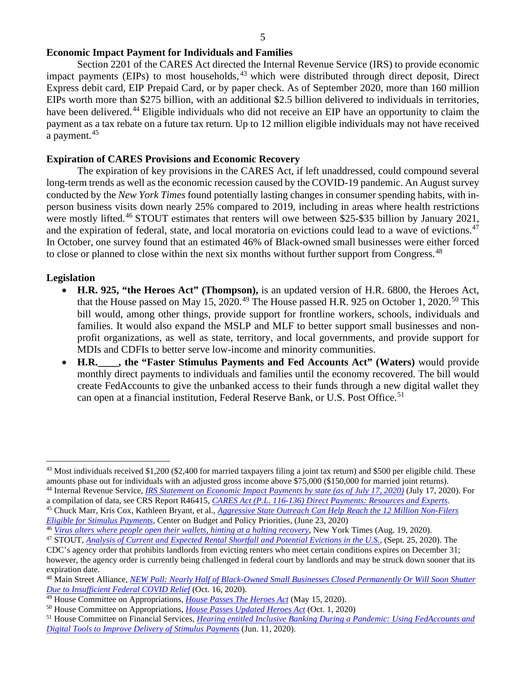#### **Economic Impact Payment for Individuals and Families**

Section 2201 of the CARES Act directed the Internal Revenue Service (IRS) to provide economic impact payments (EIPs) to most households, <sup>[43](#page-4-0)</sup> which were distributed through direct deposit, Direct Express debit card, EIP Prepaid Card, or by paper check. As of September 2020, more than 160 million EIPs worth more than \$275 billion, with an additional \$2.5 billion delivered to individuals in territories, have been delivered.<sup>[44](#page-4-1)</sup> Eligible individuals who did not receive an EIP have an opportunity to claim the payment as a tax rebate on a future tax return. Up to 12 million eligible individuals may not have received a payment.[45](#page-4-2)

#### **Expiration of CARES Provisions and Economic Recovery**

The expiration of key provisions in the CARES Act, if left unaddressed, could compound several long-term trends as well as the economic recession caused by the COVID-19 pandemic. An August survey conducted by the *New York Times* found potentially lasting changes in consumer spending habits, with inperson business visits down nearly 25% compared to 2019, including in areas where health restrictions were mostly lifted.<sup>[46](#page-4-3)</sup> STOUT estimates that renters will owe between \$25-\$35 billion by January 2021, and the expiration of federal, state, and local moratoria on evictions could lead to a wave of evictions.<sup>[47](#page-4-4)</sup> In October, one survey found that an estimated 46% of Black-owned small businesses were either forced to close or planned to close within the next six months without further support from Congress.<sup>[48](#page-4-5)</sup>

#### **Legislation**

- **H.R. 925, "the Heroes Act" (Thompson),** is an updated version of H.R. 6800, the Heroes Act, that the House passed on May 15, 2020.<sup>[49](#page-4-6)</sup> The House passed H.R. 925 on October 1, 2020.<sup>[50](#page-4-7)</sup> This bill would, among other things, provide support for frontline workers, schools, individuals and families. It would also expand the MSLP and MLF to better support small businesses and nonprofit organizations, as well as state, territory, and local governments, and provide support for MDIs and CDFIs to better serve low-income and minority communities.
- **H.R.\_\_\_\_, the "Faster Stimulus Payments and Fed Accounts Act" (Waters)** would provide monthly direct payments to individuals and families until the economy recovered. The bill would create FedAccounts to give the unbanked access to their funds through a new digital wallet they can open at a financial institution, Federal Reserve Bank, or U.S. Post Office.<sup>[51](#page-4-8)</sup>

<span id="page-4-0"></span><sup>&</sup>lt;sup>43</sup> Most individuals received \$1,200 (\$2,400 for married taxpayers filing a joint tax return) and \$500 per eligible child. These amounts phase out for individuals with an adjusted gross income above \$75,000 (\$150,000 for married joint returns).

<span id="page-4-1"></span><sup>44</sup> Internal Revenue Service, *[IRS Statement on Economic Impact Payments by state \(as of July 17, 2020\)](https://www.irs.gov/newsroom/irs-statement-on-economic-impact-payments-by-state-as-of-july-17-2020)* (July 17, 2020). For a compilation of data, see CRS Report R46415, *[CARES Act \(P.L. 116-136\) Direct Payments: Resources and Experts](http://www.crs.gov/Reports/R46415)*.

<span id="page-4-2"></span><sup>45</sup> Chuck Marr, Kris Cox, Kathleen Bryant, et al., *[Aggressive State Outreach Can Help Reach the 12 Million Non-Filers](https://www.cbpp.org/research/federal-tax/aggressive-state-outreach-can-help-reach-the-12-million-non-filers-eligible-for)  [Eligible for Stimulus Payments](https://www.cbpp.org/research/federal-tax/aggressive-state-outreach-can-help-reach-the-12-million-non-filers-eligible-for)*, Center on Budget and Policy Priorities, (June 23, 2020)

<span id="page-4-3"></span><sup>46</sup> *[Virus alters where people open their wallets, hinting at a halting recovery](https://www.nytimes.com/interactive/2020/08/18/business/economy/coronavirus-economic-recovery-states.html)*, New York Times (Aug. 19, 2020).

<span id="page-4-4"></span><sup>47</sup> STOUT, *[Analysis of Current and Expected Rental Shortfall and Potential Evictions in the U.S.](https://www.ncsha.org/wp-content/uploads/Analysis-of-Current-and-Expected-Rental-Shortfall-and-Potential-Evictions-in-the-US_Stout_FINAL.pdf)*, (Sept. 25, 2020). The CDC's agency order that prohibits landlords from evicting renters who meet certain conditions expires on December 31; however, the agency order is currently being challenged in federal court by landlords and may be struck down sooner that its

<span id="page-4-5"></span>expiration date.<br><sup>48</sup> Main Street Alliance, *<u>NEW Poll: Nearly Half of Black-Owned Small B</u>usinesses Closed Permanently Or Will Soon Shutter [Due to Insufficient Federal COVID Relief](https://www.mainstreetalliance.org/new_poll_nearly_half_of_black_owned_small_businesses_closed_permanently_or_will_soon_shutter_due_to_insufficient_federal_covid_relief)* (Oct. 16, 2020).

<span id="page-4-6"></span><sup>49</sup> House Committee on Appropriations, *[House Passes The Heroes Act](https://appropriations.house.gov/news/press-releases/house-passes-heroes-act)* (May 15, 2020).

<span id="page-4-7"></span><sup>50</sup> House Committee on Appropriations, *[House Passes Updated Heroes Act](https://appropriations.house.gov/news/press-releases/house-passes-updated-heroes-act)* (Oct. 1, 2020)

<span id="page-4-8"></span><sup>51</sup> House Committee on Financial Services, *Hearing entitled [Inclusive Banking During a Pandemic: Using FedAccounts and](https://financialservices.house.gov/calendar/eventsingle.aspx?EventID=406617)  [Digital Tools to Improve Delivery of Stimulus Payments](https://financialservices.house.gov/calendar/eventsingle.aspx?EventID=406617)* (Jun. 11, 2020).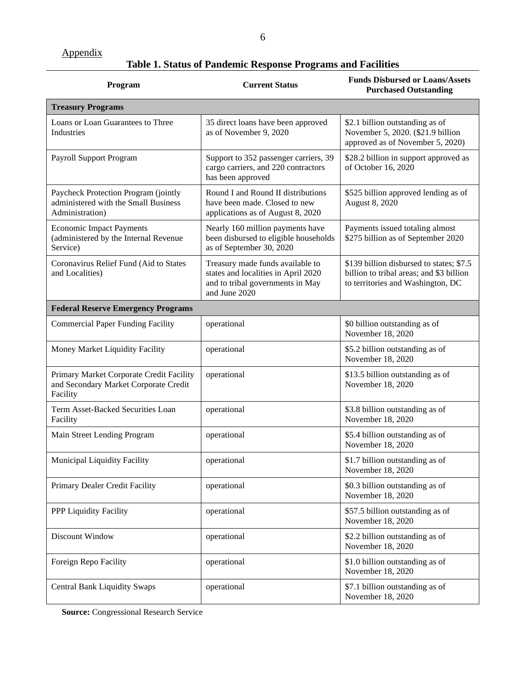## Appendix

## **Table 1. Status of Pandemic Response Programs and Facilities**

| Program                                                                                         | <b>Current Status</b>                                                                                                        | <b>Funds Disbursed or Loans/Assets</b><br><b>Purchased Outstanding</b>                                                    |  |  |  |  |  |
|-------------------------------------------------------------------------------------------------|------------------------------------------------------------------------------------------------------------------------------|---------------------------------------------------------------------------------------------------------------------------|--|--|--|--|--|
| <b>Treasury Programs</b>                                                                        |                                                                                                                              |                                                                                                                           |  |  |  |  |  |
| Loans or Loan Guarantees to Three<br>Industries                                                 | 35 direct loans have been approved<br>as of November 9, 2020                                                                 | \$2.1 billion outstanding as of<br>November 5, 2020. (\$21.9 billion<br>approved as of November 5, 2020)                  |  |  |  |  |  |
| Payroll Support Program                                                                         | Support to 352 passenger carriers, 39<br>cargo carriers, and 220 contractors<br>has been approved                            | \$28.2 billion in support approved as<br>of October 16, 2020                                                              |  |  |  |  |  |
| Paycheck Protection Program (jointly<br>administered with the Small Business<br>Administration) | Round I and Round II distributions<br>have been made. Closed to new<br>applications as of August 8, 2020                     | \$525 billion approved lending as of<br>August 8, 2020                                                                    |  |  |  |  |  |
| <b>Economic Impact Payments</b><br>(administered by the Internal Revenue<br>Service)            | Nearly 160 million payments have<br>been disbursed to eligible households<br>as of September 30, 2020                        | Payments issued totaling almost<br>\$275 billion as of September 2020                                                     |  |  |  |  |  |
| Coronavirus Relief Fund (Aid to States<br>and Localities)                                       | Treasury made funds available to<br>states and localities in April 2020<br>and to tribal governments in May<br>and June 2020 | \$139 billion disbursed to states; \$7.5<br>billion to tribal areas; and \$3 billion<br>to territories and Washington, DC |  |  |  |  |  |
| <b>Federal Reserve Emergency Programs</b>                                                       |                                                                                                                              |                                                                                                                           |  |  |  |  |  |
| <b>Commercial Paper Funding Facility</b>                                                        | operational                                                                                                                  | \$0 billion outstanding as of<br>November 18, 2020                                                                        |  |  |  |  |  |
| Money Market Liquidity Facility                                                                 | operational                                                                                                                  | \$5.2 billion outstanding as of<br>November 18, 2020                                                                      |  |  |  |  |  |
| Primary Market Corporate Credit Facility<br>and Secondary Market Corporate Credit<br>Facility   | operational                                                                                                                  | \$13.5 billion outstanding as of<br>November 18, 2020                                                                     |  |  |  |  |  |
| Term Asset-Backed Securities Loan<br>Facility                                                   | operational                                                                                                                  | \$3.8 billion outstanding as of<br>November 18, 2020                                                                      |  |  |  |  |  |
| Main Street Lending Program                                                                     | operational                                                                                                                  | \$5.4 billion outstanding as of<br>November 18, 2020                                                                      |  |  |  |  |  |
| Municipal Liquidity Facility                                                                    | operational                                                                                                                  | \$1.7 billion outstanding as of<br>November 18, 2020                                                                      |  |  |  |  |  |
| Primary Dealer Credit Facility                                                                  | operational                                                                                                                  | \$0.3 billion outstanding as of<br>November 18, 2020                                                                      |  |  |  |  |  |
| PPP Liquidity Facility                                                                          | operational                                                                                                                  | \$57.5 billion outstanding as of<br>November 18, 2020                                                                     |  |  |  |  |  |
| Discount Window                                                                                 | operational                                                                                                                  | \$2.2 billion outstanding as of<br>November 18, 2020                                                                      |  |  |  |  |  |
| Foreign Repo Facility                                                                           | operational                                                                                                                  | \$1.0 billion outstanding as of<br>November 18, 2020                                                                      |  |  |  |  |  |
| <b>Central Bank Liquidity Swaps</b>                                                             | operational                                                                                                                  | \$7.1 billion outstanding as of<br>November 18, 2020                                                                      |  |  |  |  |  |

**Source:** Congressional Research Service